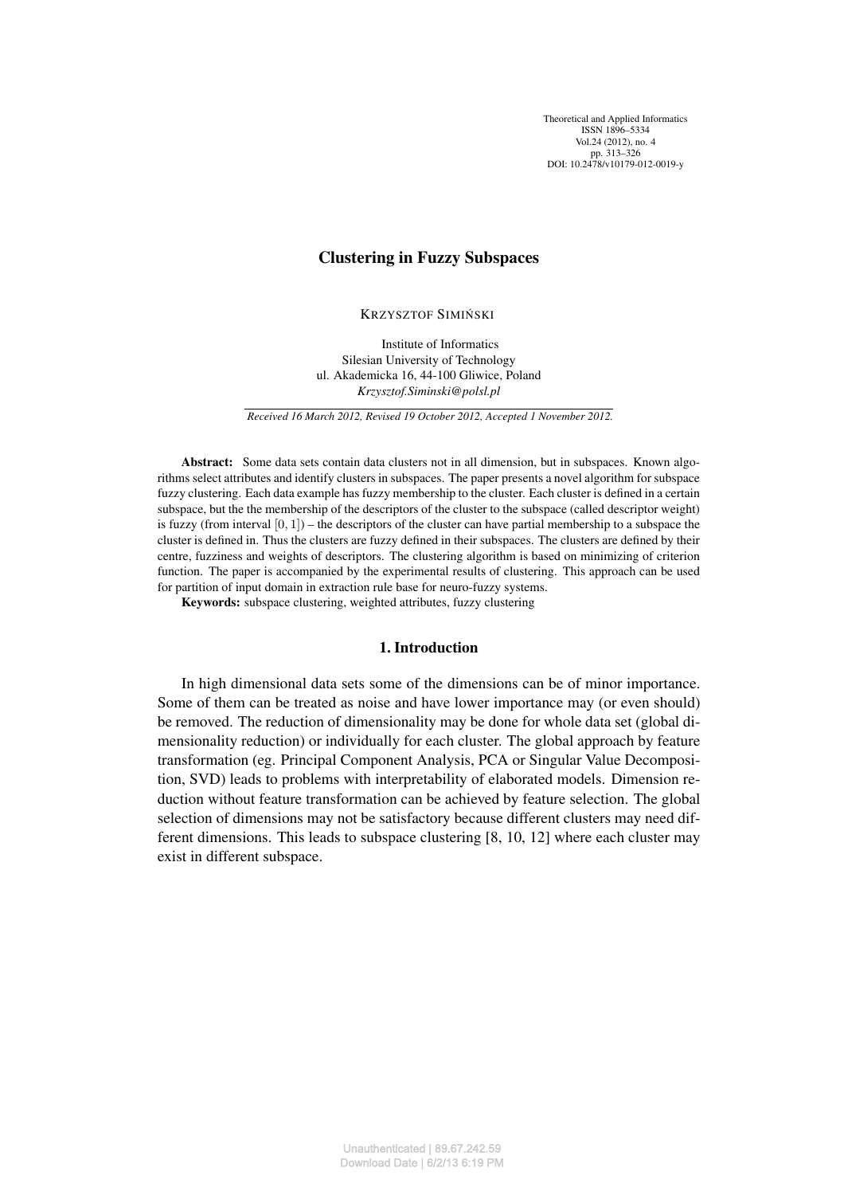Theoretical and Applied Informatics ISSN 1896–5334 Vol. 24 (2012), no. 4 pp. 313–326 DOI: 10.2478/v10179-012-0019-y

# Clustering in Fuzzy Subspaces

**KRZYSZTOF SIMIŃSKI** 

Institute of Informatics Silesian University of Technology ul. Akademicka 16, 44-100 Gliwice, Poland *Krzysztof.Siminski@polsl.pl*

*Received 16 March 2012, Revised 19 October 2012, Accepted 1 November 2012.*

Abstract: Some data sets contain data clusters not in all dimension, but in subspaces. Known algorithms select attributes and identify clusters in subspaces. The paper presents a novel algorithm for subspace fuzzy clustering. Each data example has fuzzy membership to the cluster. Each cluster is defined in a certain subspace, but the the membership of the descriptors of the cluster to the subspace (called descriptor weight) is fuzzy (from interval  $[0, 1]$ ) – the descriptors of the cluster can have partial membership to a subspace the cluster is defined in. Thus the clusters are fuzzy defined in their subspaces. The clusters are defined by their centre, fuzziness and weights of descriptors. The clustering algorithm is based on minimizing of criterion function. The paper is accompanied by the experimental results of clustering. This approach can be used for partition of input domain in extraction rule base for neuro-fuzzy systems.

Keywords: subspace clustering, weighted attributes, fuzzy clustering

# 1. Introduction

In high dimensional data sets some of the dimensions can be of minor importance. Some of them can be treated as noise and have lower importance may (or even should) be removed. The reduction of dimensionality may be done for whole data set (global dimensionality reduction) or individually for each cluster. The global approach by feature transformation (eg. Principal Component Analysis, PCA or Singular Value Decomposition, SVD) leads to problems with interpretability of elaborated models. Dimension reduction without feature transformation can be achieved by feature selection. The global selection of dimensions may not be satisfactory because different clusters may need different dimensions. This leads to subspace clustering [8, 10, 12] where each cluster may exist in different subspace.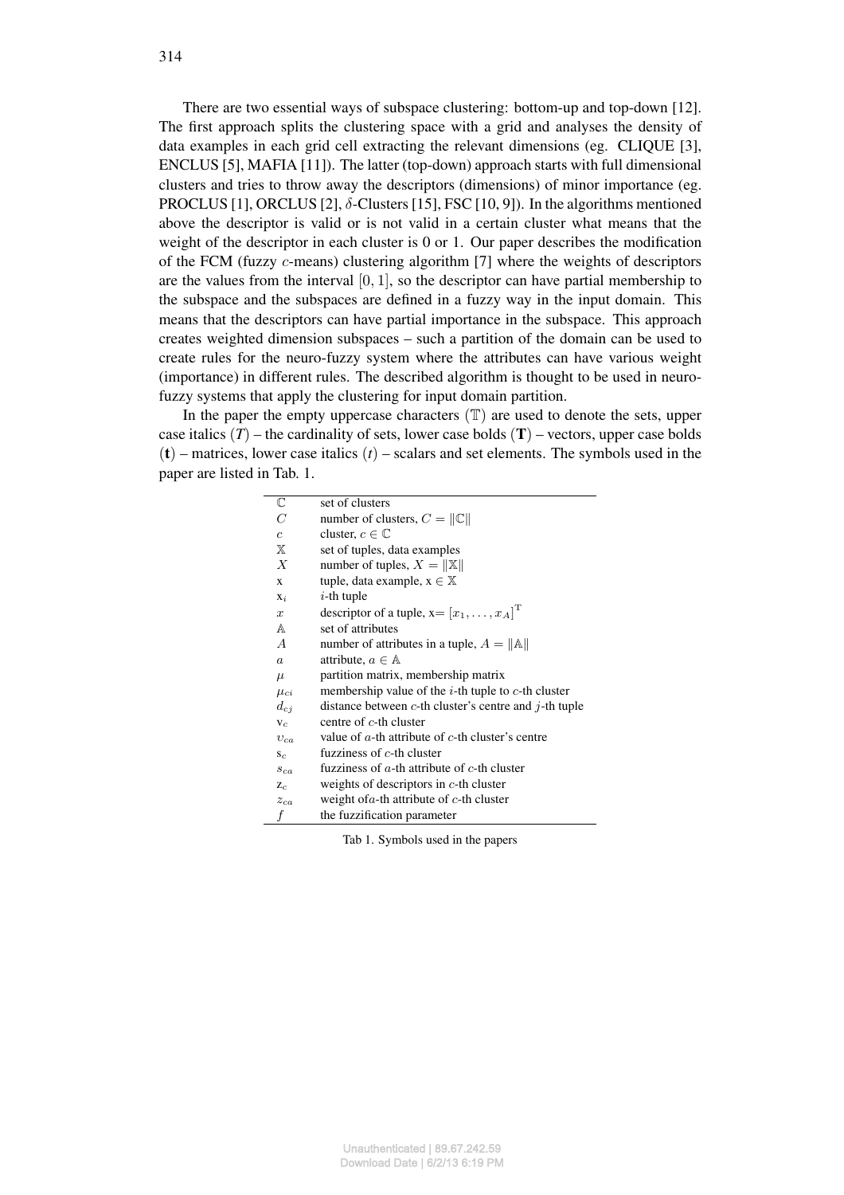There are two essential ways of subspace clustering: bottom-up and top-down [12]. The first approach splits the clustering space with a grid and analyses the density of data examples in each grid cell extracting the relevant dimensions (eg. CLIQUE [3], ENCLUS [5], MAFIA [11]). The latter (top-down) approach starts with full dimensional clusters and tries to throw away the descriptors (dimensions) of minor importance (eg. PROCLUS [1], ORCLUS [2],  $\delta$ -Clusters [15], FSC [10, 9]). In the algorithms mentioned above the descriptor is valid or is not valid in a certain cluster what means that the weight of the descriptor in each cluster is 0 or 1. Our paper describes the modification of the FCM (fuzzy c-means) clustering algorithm [7] where the weights of descriptors are the values from the interval  $[0, 1]$ , so the descriptor can have partial membership to the subspace and the subspaces are defined in a fuzzy way in the input domain. This means that the descriptors can have partial importance in the subspace. This approach creates weighted dimension subspaces – such a partition of the domain can be used to create rules for the neuro-fuzzy system where the attributes can have various weight (importance) in different rules. The described algorithm is thought to be used in neurofuzzy systems that apply the clustering for input domain partition.

In the paper the empty uppercase characters  $(\mathbb{T})$  are used to denote the sets, upper case italics  $(T)$  – the cardinality of sets, lower case bolds  $(T)$  – vectors, upper case bolds  $(t)$  – matrices, lower case italics  $(t)$  – scalars and set elements. The symbols used in the paper are listed in Tab. 1.

| $\mathbb C$      | set of clusters                                               |
|------------------|---------------------------------------------------------------|
| C                | number of clusters, $C =   C  $                               |
| $\mathfrak{c}$   | cluster, $c \in \mathbb{C}$                                   |
| Ж                | set of tuples, data examples                                  |
| $\boldsymbol{X}$ | number of tuples, $X =   \mathbb{X}  $                        |
| X                | tuple, data example, $x \in \mathbb{X}$                       |
| $X_i$            | $i$ -th tuple                                                 |
| $\boldsymbol{x}$ | descriptor of a tuple, $x = [x_1, \dots, x_A]^T$              |
| A                | set of attributes                                             |
| $\boldsymbol{A}$ | number of attributes in a tuple, $A =   A  $                  |
| $\boldsymbol{a}$ | attribute, $a \in A$                                          |
| $\mu$            | partition matrix, membership matrix                           |
| $\mu_{ci}$       | membership value of the <i>i</i> -th tuple to $c$ -th cluster |
| $d_{ci}$         | distance between c-th cluster's centre and $j$ -th tuple      |
| $V_c$            | centre of $c$ -th cluster                                     |
| $v_{ca}$         | value of $a$ -th attribute of $c$ -th cluster's centre        |
| $S_{C}$          | fuzziness of $c$ -th cluster                                  |
| $s_{ca}$         | fuzziness of $a$ -th attribute of $c$ -th cluster             |
| $Z_c$            | weights of descriptors in $c$ -th cluster                     |
| $z_{ca}$         | weight of $a$ -th attribute of $c$ -th cluster                |
| f                | the fuzzification parameter                                   |
|                  |                                                               |

Tab 1. Symbols used in the papers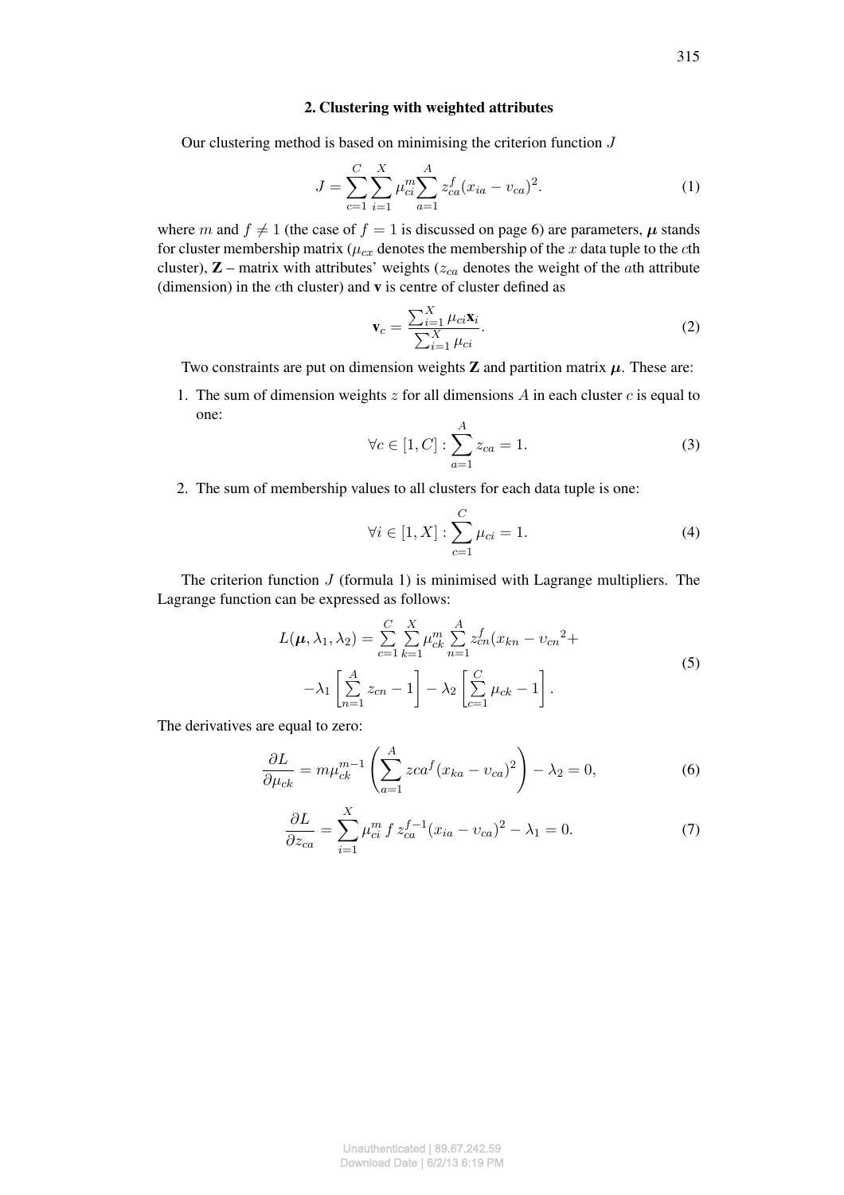# 2. Clustering with weighted attributes

Our clustering method is based on minimising the criterion function J

$$
J = \sum_{c=1}^{C} \sum_{i=1}^{X} \mu_{ci}^{m} \sum_{a=1}^{A} z_{ca}^{f} (x_{ia} - v_{ca})^{2}.
$$
 (1)

where m and  $f \neq 1$  (the case of  $f = 1$  is discussed on page 6) are parameters,  $\mu$  stands for cluster membership matrix ( $\mu_{cx}$  denotes the membership of the x data tuple to the cth cluster),  $\mathbf{Z}$  – matrix with attributes' weights ( $z_{ca}$  denotes the weight of the *ath* attribute (dimension) in the cth cluster) and  $v$  is centre of cluster defined as

$$
\mathbf{v}_c = \frac{\sum_{i=1}^X \mu_{ci} \mathbf{x}_i}{\sum_{i=1}^X \mu_{ci}}.
$$
 (2)

Two constraints are put on dimension weights  $Z$  and partition matrix  $\mu$ . These are:

1. The sum of dimension weights  $z$  for all dimensions  $A$  in each cluster  $c$  is equal to one:

$$
\forall c \in [1, C] : \sum_{a=1}^{A} z_{ca} = 1.
$$
 (3)

2. The sum of membership values to all clusters for each data tuple is one:

$$
\forall i \in [1, X] : \sum_{c=1}^{C} \mu_{ci} = 1.
$$
 (4)

The criterion function  $J$  (formula 1) is minimised with Lagrange multipliers. The Lagrange function can be expressed as follows:

$$
L(\mu, \lambda_1, \lambda_2) = \sum_{c=1}^{C} \sum_{k=1}^{X} \mu_{ck}^m \sum_{n=1}^{A} z_{cn}^f (x_{kn} - v_{cn}^2 + \lambda_1 \left[ \sum_{n=1}^{A} z_{cn} - 1 \right] - \lambda_2 \left[ \sum_{c=1}^{C} \mu_{ck} - 1 \right].
$$
\n(5)

The derivatives are equal to zero:

$$
\frac{\partial L}{\partial \mu_{ck}} = m\mu_{ck}^{m-1} \left( \sum_{a=1}^{A} zca^f (x_{ka} - v_{ca})^2 \right) - \lambda_2 = 0,\tag{6}
$$

$$
\frac{\partial L}{\partial z_{ca}} = \sum_{i=1}^{X} \mu_{ci}^{m} f z_{ca}^{f-1} (x_{ia} - v_{ca})^{2} - \lambda_{1} = 0.
$$
 (7)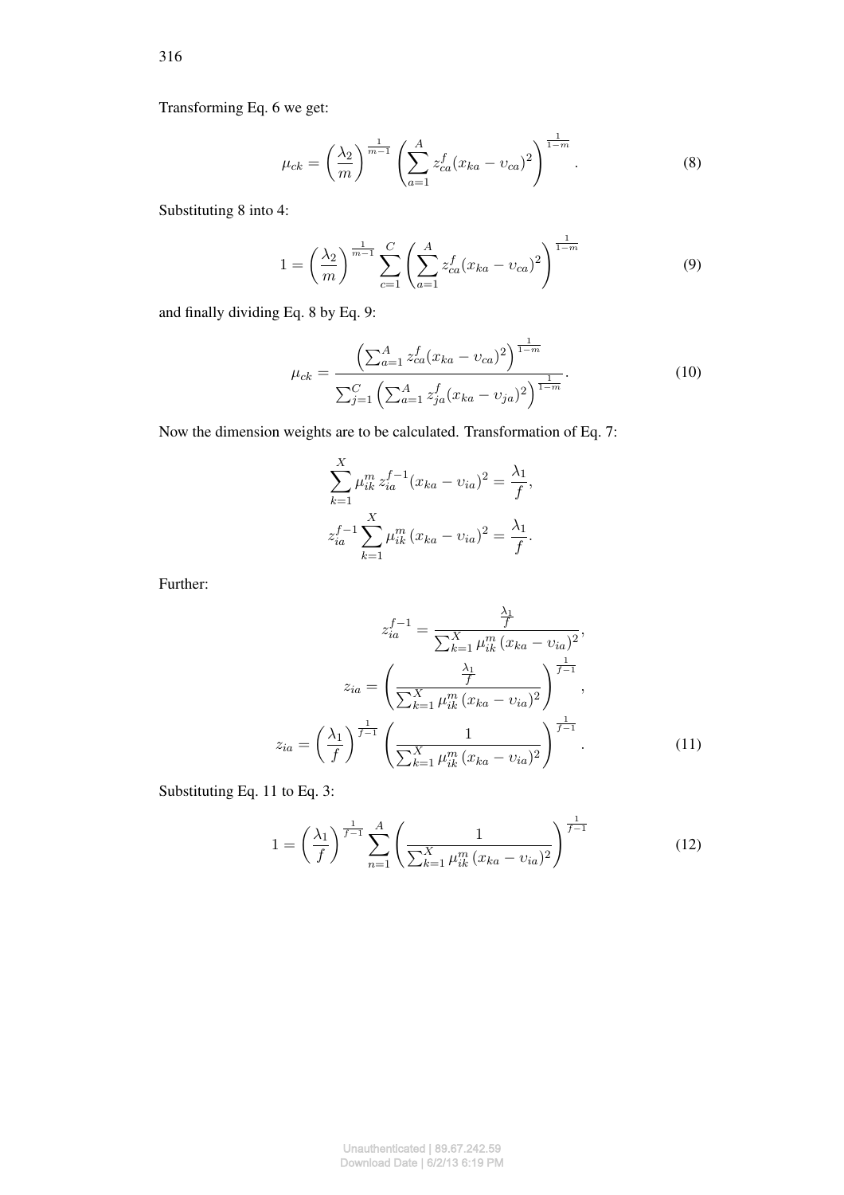Transforming Eq. 6 we get:

$$
\mu_{ck} = \left(\frac{\lambda_2}{m}\right)^{\frac{1}{m-1}} \left(\sum_{a=1}^A z_{ca}^f (x_{ka} - v_{ca})^2\right)^{\frac{1}{1-m}}.
$$
\n(8)

Substituting 8 into 4:

$$
1 = \left(\frac{\lambda_2}{m}\right)^{\frac{1}{m-1}} \sum_{c=1}^{C} \left(\sum_{a=1}^{A} z_{ca}^f (x_{ka} - v_{ca})^2\right)^{\frac{1}{1-m}}
$$
(9)

and finally dividing Eq. 8 by Eq. 9:

$$
\mu_{ck} = \frac{\left(\sum_{a=1}^{A} z_{ca}^f (x_{ka} - v_{ca})^2\right)^{\frac{1}{1-m}}}{\sum_{j=1}^{C} \left(\sum_{a=1}^{A} z_{ja}^f (x_{ka} - v_{ja})^2\right)^{\frac{1}{1-m}}}.
$$
\n(10)

Now the dimension weights are to be calculated. Transformation of Eq. 7:

$$
\sum_{k=1}^{X} \mu_{ik}^{m} z_{ia}^{f-1} (x_{ka} - v_{ia})^{2} = \frac{\lambda_{1}}{f},
$$
  

$$
z_{ia}^{f-1} \sum_{k=1}^{X} \mu_{ik}^{m} (x_{ka} - v_{ia})^{2} = \frac{\lambda_{1}}{f}.
$$

Further:

$$
z_{ia}^{f-1} = \frac{\frac{\lambda_1}{f}}{\sum_{k=1}^{X} \mu_{ik}^m (x_{ka} - v_{ia})^2},
$$

$$
z_{ia} = \left(\frac{\frac{\lambda_1}{f}}{\sum_{k=1}^{X} \mu_{ik}^m (x_{ka} - v_{ia})^2}\right)^{\frac{1}{f-1}},
$$

$$
z_{ia} = \left(\frac{\lambda_1}{f}\right)^{\frac{1}{f-1}} \left(\frac{1}{\sum_{k=1}^{X} \mu_{ik}^m (x_{ka} - v_{ia})^2}\right)^{\frac{1}{f-1}}.
$$
(11)

Substituting Eq. 11 to Eq. 3:

$$
1 = \left(\frac{\lambda_1}{f}\right)^{\frac{1}{f-1}} \sum_{n=1}^{A} \left(\frac{1}{\sum_{k=1}^{X} \mu_{ik}^m (x_{ka} - v_{ia})^2}\right)^{\frac{1}{f-1}}
$$
(12)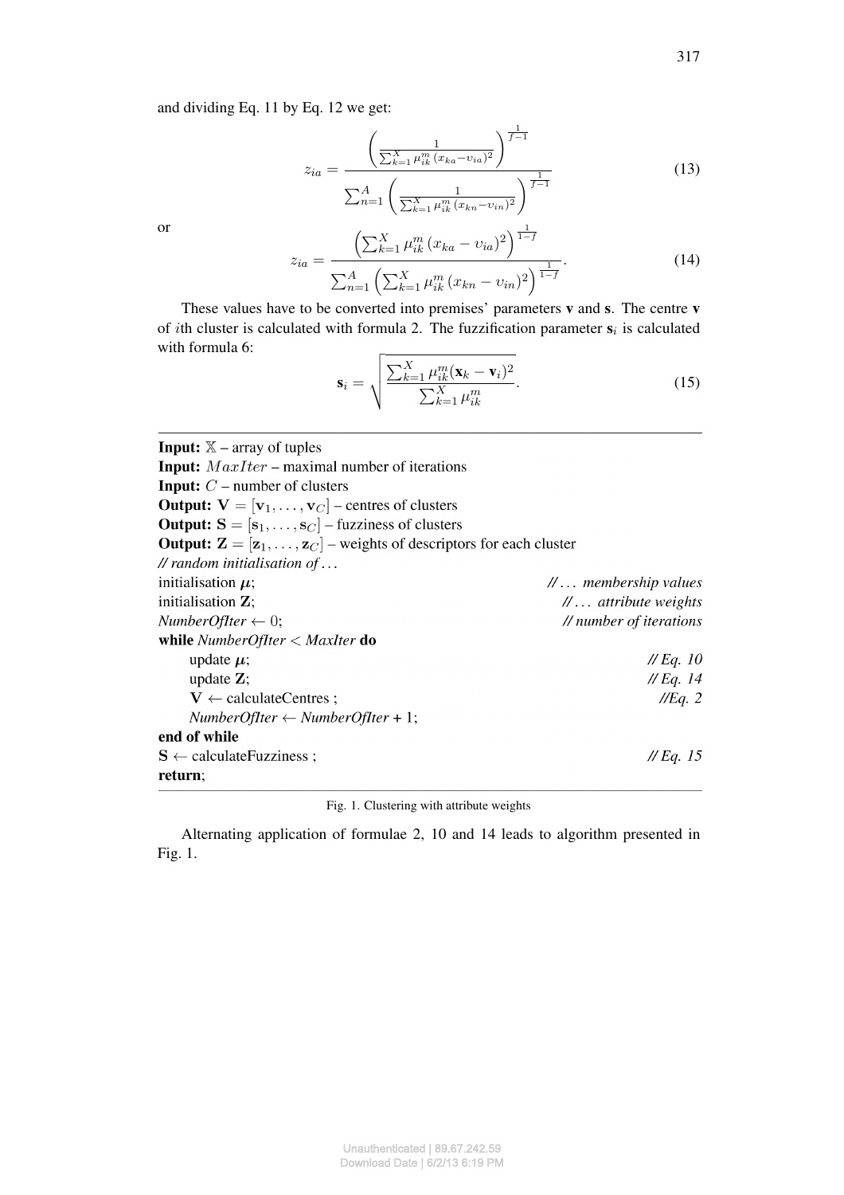and dividing Eq. 11 by Eq. 12 we get:

$$
z_{ia} = \frac{\left(\frac{1}{\sum_{k=1}^{X} \mu_{ik}^{m} (x_{ka} - v_{ia})^{2}}\right)^{\frac{1}{f-1}}}{\sum_{n=1}^{A} \left(\frac{1}{\sum_{k=1}^{X} \mu_{ik}^{m} (x_{kn} - v_{in})^{2}}\right)^{\frac{1}{f-1}}}
$$
(13)

or

$$
z_{ia} = \frac{\left(\sum_{k=1}^{X} \mu_{ik}^{m} (x_{ka} - v_{ia})^{2}\right)^{\frac{1}{1-f}}}{\sum_{n=1}^{A} \left(\sum_{k=1}^{X} \mu_{ik}^{m} (x_{kn} - v_{in})^{2}\right)^{\frac{1}{1-f}}}.
$$
(14)

These values have to be converted into premises' parameters v and s. The centre v of *i*th cluster is calculated with formula 2. The fuzzification parameter  $s_i$  is calculated with formula 6:

$$
\mathbf{s}_{i} = \sqrt{\frac{\sum_{k=1}^{X} \mu_{ik}^{m} (\mathbf{x}_{k} - \mathbf{v}_{i})^{2}}{\sum_{k=1}^{X} \mu_{ik}^{m}}}. \tag{15}
$$

**Input:**  $X$  – array of tuples **Input:**  $MaxIter$  – maximal number of iterations **Input:**  $C$  – number of clusters **Output:**  $V = [v_1, \dots, v_C]$  – centres of clusters **Output:**  $S = [s_1, ..., s_C]$  – fuzziness of clusters **Output:**  $\mathbf{Z} = [\mathbf{z}_1, \dots, \mathbf{z}_C]$  – weights of descriptors for each cluster // random initialisation of ... initialisation  $\mu$ ; //... membership values initialisation Z:  $\mathcal{U}$ ... attribute weights NumberOfIter  $\leftarrow 0$ ; // number of iterations while  $NumberOffice <$  MaxIter do  $\mathcal{N}$ *Eq.* 10 update  $\mu$ ;  $\mathcal{W}$  Eq. 14 update  $\mathbf{Z}$ ;  $V \leftarrow$  calculateCentres;  $I/Eq.2$  $NumberOffice < \leftarrow NumberOffice + 1;$ end of while  $\mathcal{W}$  Eq. 15  $S \leftarrow$  calculate Fuzziness; return;

Fig. 1. Clustering with attribute weights

Alternating application of formulae 2, 10 and 14 leads to algorithm presented in Fig. 1.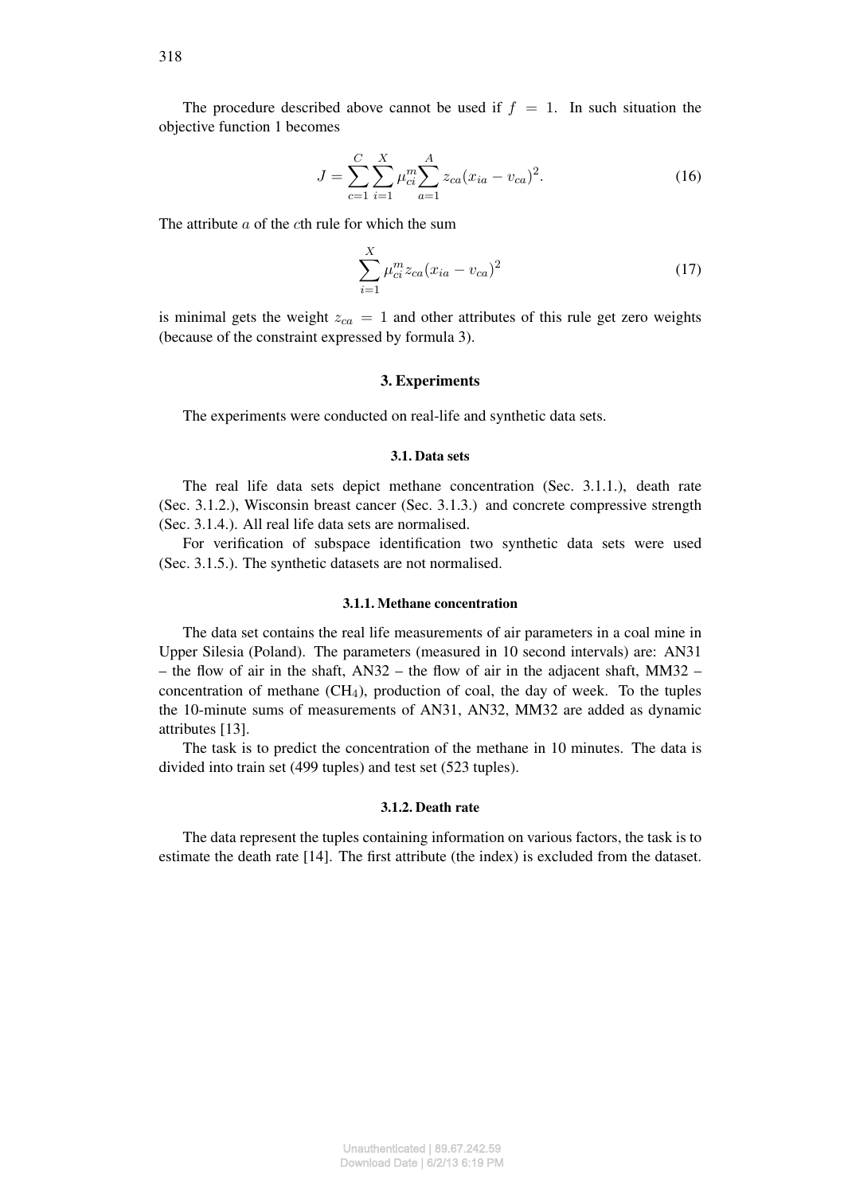The procedure described above cannot be used if  $f = 1$ . In such situation the objective function 1 becomes

$$
J = \sum_{c=1}^{C} \sum_{i=1}^{X} \mu_{ci}^{m} \sum_{a=1}^{A} z_{ca} (x_{ia} - v_{ca})^{2}.
$$
 (16)

The attribute  $a$  of the cth rule for which the sum

$$
\sum_{i=1}^{X} \mu_{ci}^{m} z_{ca} (x_{ia} - v_{ca})^2
$$
 (17)

is minimal gets the weight  $z_{ca} = 1$  and other attributes of this rule get zero weights (because of the constraint expressed by formula 3).

## 3. Experiments

The experiments were conducted on real-life and synthetic data sets.

## 3.1. Data sets

The real life data sets depict methane concentration (Sec. 3.1.1.), death rate (Sec. 3.1.2.), Wisconsin breast cancer (Sec. 3.1.3.) and concrete compressive strength (Sec. 3.1.4.). All real life data sets are normalised.

For verification of subspace identification two synthetic data sets were used (Sec. 3.1.5.). The synthetic datasets are not normalised.

## 3.1.1. Methane concentration

The data set contains the real life measurements of air parameters in a coal mine in Upper Silesia (Poland). The parameters (measured in 10 second intervals) are: AN31 – the flow of air in the shaft,  $AN32$  – the flow of air in the adjacent shaft,  $MM32$  – concentration of methane  $(CH_4)$ , production of coal, the day of week. To the tuples the 10-minute sums of measurements of AN31, AN32, MM32 are added as dynamic attributes [13].

The task is to predict the concentration of the methane in 10 minutes. The data is divided into train set (499 tuples) and test set (523 tuples).

### 3.1.2. Death rate

The data represent the tuples containing information on various factors, the task is to estimate the death rate [14]. The first attribute (the index) is excluded from the dataset.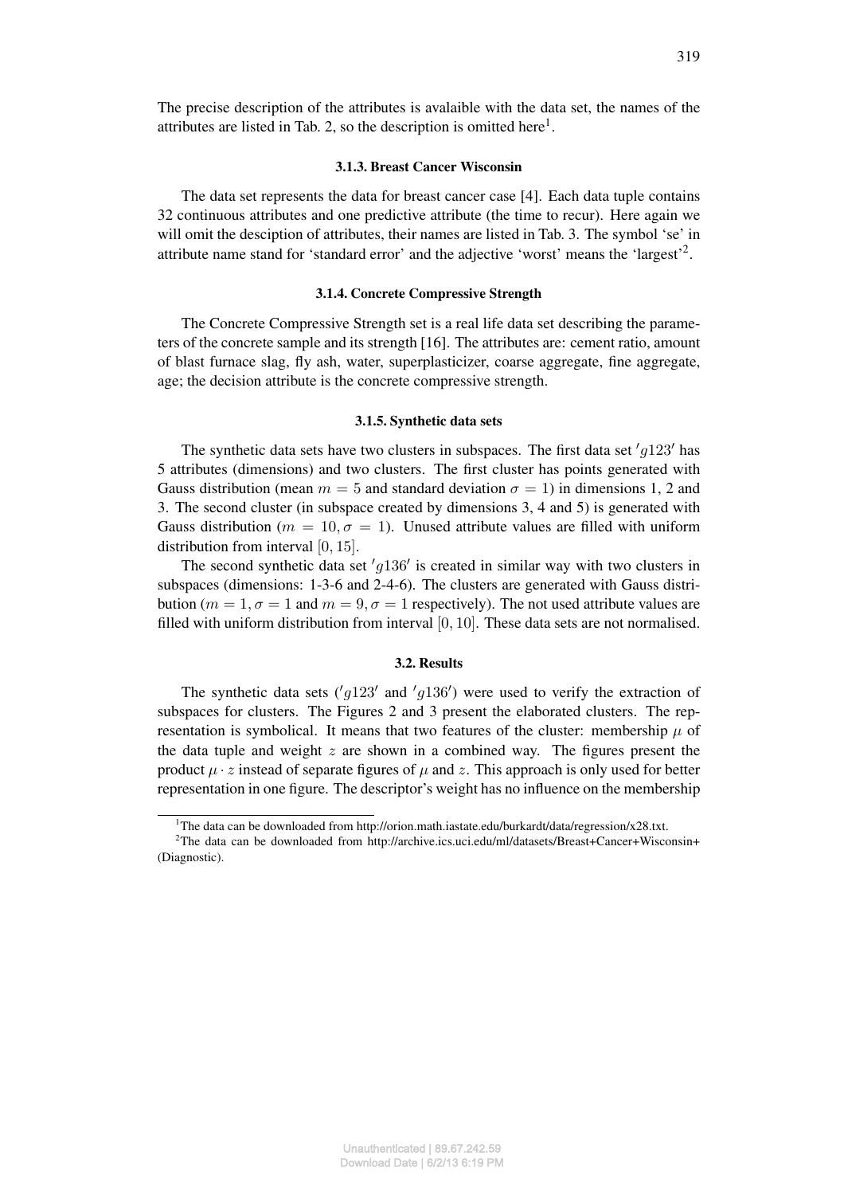### 3.1.3. Breast Cancer Wisconsin

The data set represents the data for breast cancer case [4]. Each data tuple contains 32 continuous attributes and one predictive attribute (the time to recur). Here again we will omit the desciption of attributes, their names are listed in Tab. 3. The symbol 'se' in attribute name stand for 'standard error' and the adjective 'worst' means the 'largest'<sup>2</sup>.

## 3.1.4. Concrete Compressive Strength

The Concrete Compressive Strength set is a real life data set describing the parameters of the concrete sample and its strength [16]. The attributes are: cement ratio, amount of blast furnace slag, fly ash, water, superplasticizer, coarse aggregate, fine aggregate, age; the decision attribute is the concrete compressive strength.

### 3.1.5. Synthetic data sets

The synthetic data sets have two clusters in subspaces. The first data set  $'g123'$  has 5 attributes (dimensions) and two clusters. The first cluster has points generated with Gauss distribution (mean  $m = 5$  and standard deviation  $\sigma = 1$ ) in dimensions 1, 2 and 3. The second cluster (in subspace created by dimensions 3, 4 and 5) is generated with Gauss distribution ( $m = 10, \sigma = 1$ ). Unused attribute values are filled with uniform distribution from interval [0, 15].

The second synthetic data set  $'g136'$  is created in similar way with two clusters in subspaces (dimensions: 1-3-6 and 2-4-6). The clusters are generated with Gauss distribution ( $m = 1$ ,  $\sigma = 1$  and  $m = 9$ ,  $\sigma = 1$  respectively). The not used attribute values are filled with uniform distribution from interval [0, 10]. These data sets are not normalised.

# 3.2. Results

The synthetic data sets ( $'g123'$  and  $'g136'$ ) were used to verify the extraction of subspaces for clusters. The Figures 2 and 3 present the elaborated clusters. The representation is symbolical. It means that two features of the cluster: membership  $\mu$  of the data tuple and weight  $z$  are shown in a combined way. The figures present the product  $\mu \cdot z$  instead of separate figures of  $\mu$  and z. This approach is only used for better representation in one figure. The descriptor's weight has no influence on the membership

<sup>&</sup>lt;sup>1</sup>The data can be downloaded from http://orion.math.iastate.edu/burkardt/data/regression/x28.txt.

<sup>&</sup>lt;sup>2</sup>The data can be downloaded from http://archive.ics.uci.edu/ml/datasets/Breast+Cancer+Wisconsin+ (Diagnostic).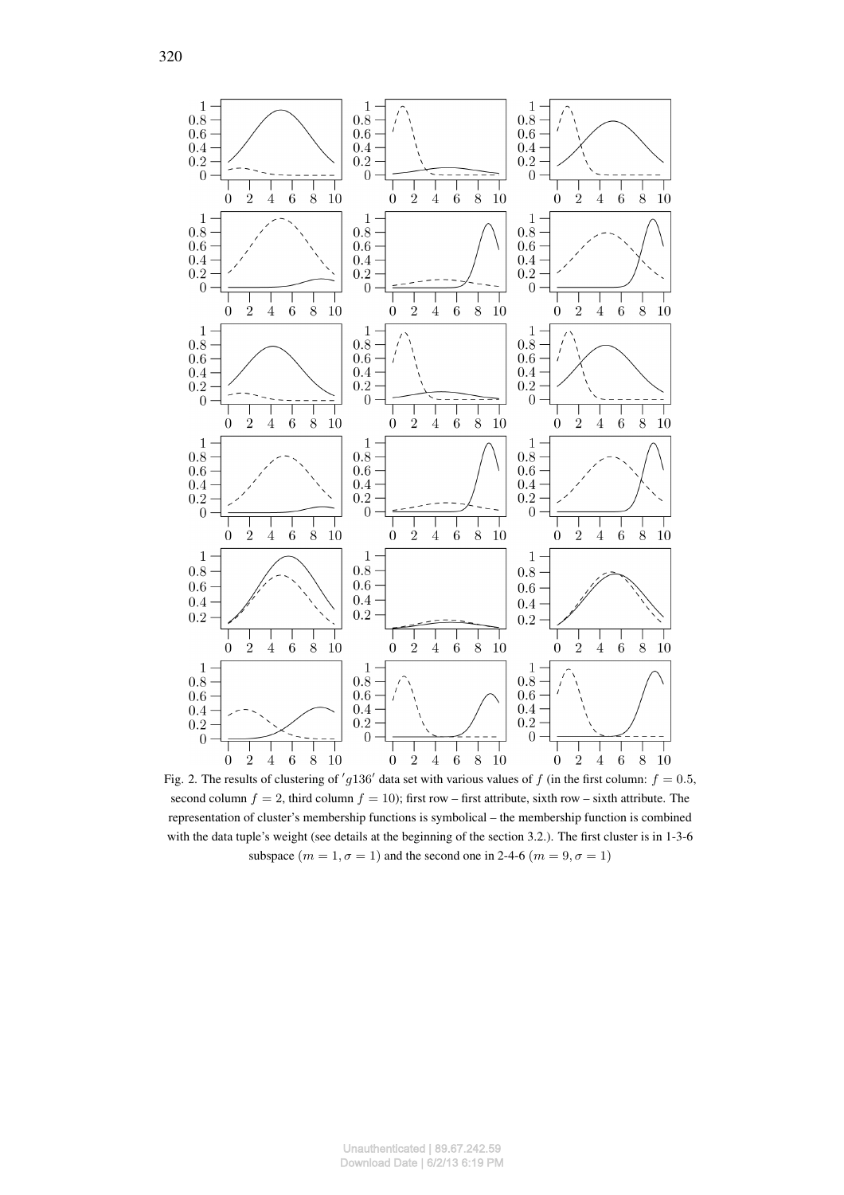

Fig. 2. The results of clustering of 'g136' data set with various values of f (in the first column:  $f = 0.5$ , second column  $f = 2$ , third column  $f = 10$ ); first row – first attribute, sixth row – sixth attribute. The representation of cluster's membership functions is symbolical – the membership function is combined with the data tuple's weight (see details at the beginning of the section 3.2.). The first cluster is in 1-3-6 subspace  $(m = 1, \sigma = 1)$  and the second one in 2-4-6  $(m = 9, \sigma = 1)$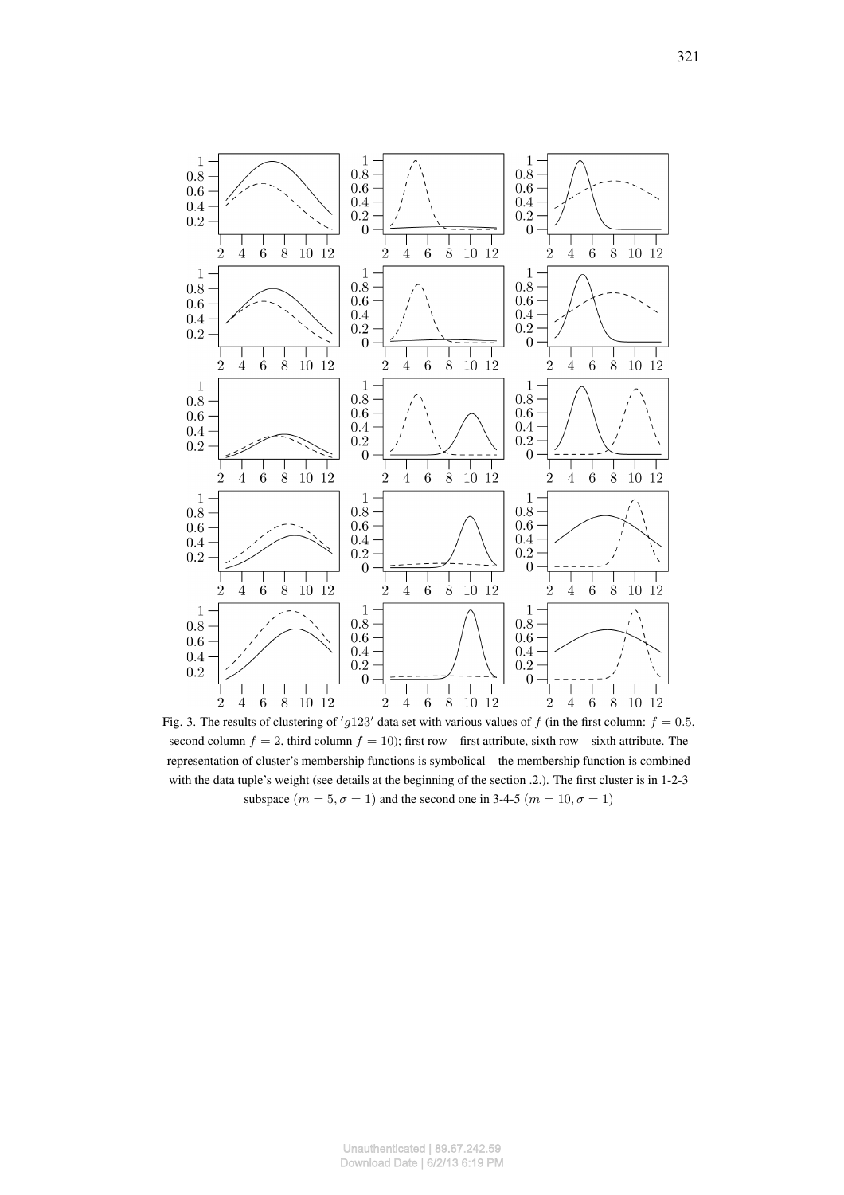

Fig. 3. The results of clustering of 'g123' data set with various values of f (in the first column:  $f = 0.5$ , second column  $f = 2$ , third column  $f = 10$ ); first row – first attribute, sixth row – sixth attribute. The representation of cluster's membership functions is symbolical – the membership function is combined with the data tuple's weight (see details at the beginning of the section .2.). The first cluster is in 1-2-3 subspace  $(m = 5, \sigma = 1)$  and the second one in 3-4-5  $(m = 10, \sigma = 1)$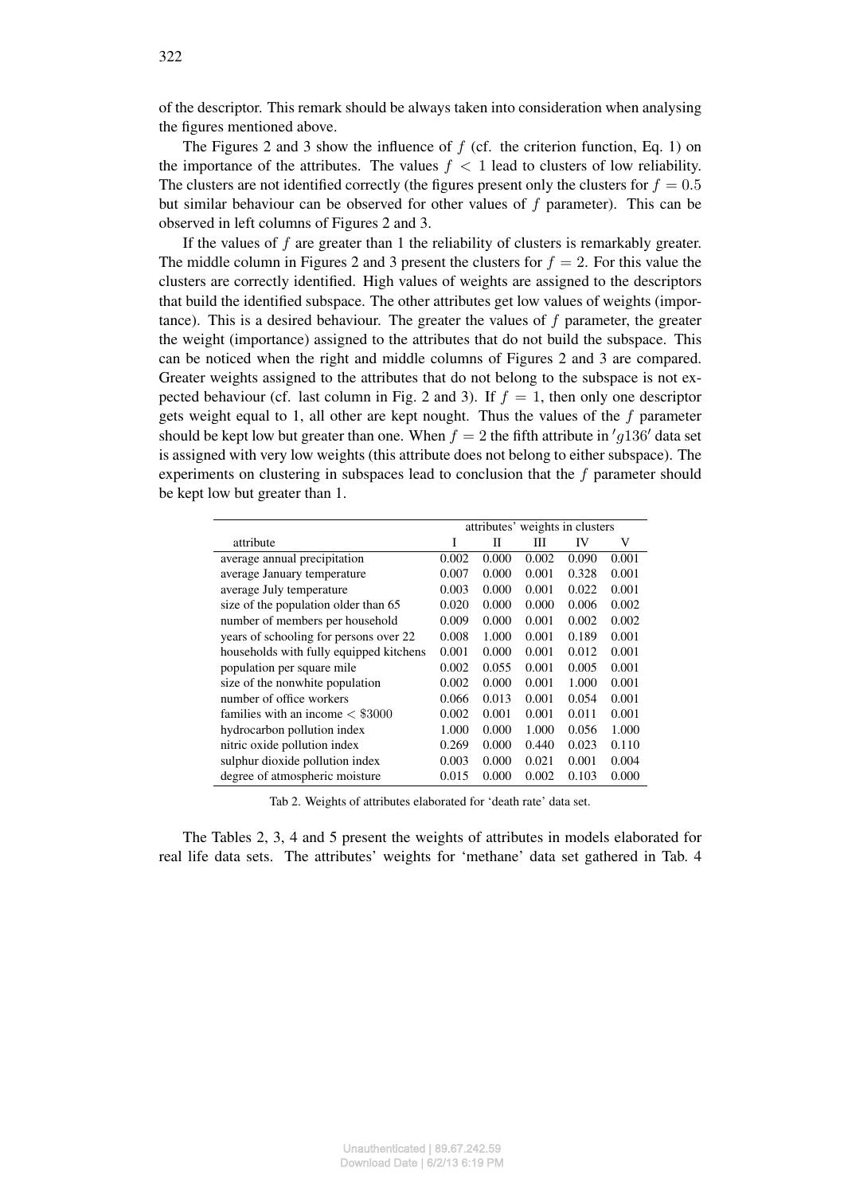of the descriptor. This remark should be always taken into consideration when analysing the figures mentioned above.

The Figures 2 and 3 show the influence of  $f$  (cf. the criterion function, Eq. 1) on the importance of the attributes. The values  $f < 1$  lead to clusters of low reliability. The clusters are not identified correctly (the figures present only the clusters for  $f = 0.5$ but similar behaviour can be observed for other values of f parameter). This can be observed in left columns of Figures 2 and 3.

If the values of f are greater than 1 the reliability of clusters is remarkably greater. The middle column in Figures 2 and 3 present the clusters for  $f = 2$ . For this value the clusters are correctly identified. High values of weights are assigned to the descriptors that build the identified subspace. The other attributes get low values of weights (importance). This is a desired behaviour. The greater the values of f parameter, the greater the weight (importance) assigned to the attributes that do not build the subspace. This can be noticed when the right and middle columns of Figures 2 and 3 are compared. Greater weights assigned to the attributes that do not belong to the subspace is not expected behaviour (cf. last column in Fig. 2 and 3). If  $f = 1$ , then only one descriptor gets weight equal to 1, all other are kept nought. Thus the values of the  $f$  parameter should be kept low but greater than one. When  $f = 2$  the fifth attribute in 'g136' data set is assigned with very low weights (this attribute does not belong to either subspace). The experiments on clustering in subspaces lead to conclusion that the  $f$  parameter should be kept low but greater than 1.

|                                         | attributes' weights in clusters |       |       |       |       |
|-----------------------------------------|---------------------------------|-------|-------|-------|-------|
| attribute                               | I                               | П     | Ш     | IV    | V     |
| average annual precipitation            | 0.002                           | 0.000 | 0.002 | 0.090 | 0.001 |
| average January temperature             | 0.007                           | 0.000 | 0.001 | 0.328 | 0.001 |
| average July temperature                | 0.003                           | 0.000 | 0.001 | 0.022 | 0.001 |
| size of the population older than 65    | 0.020                           | 0.000 | 0.000 | 0.006 | 0.002 |
| number of members per household         | 0.009                           | 0.000 | 0.001 | 0.002 | 0.002 |
| years of schooling for persons over 22  | 0.008                           | 1.000 | 0.001 | 0.189 | 0.001 |
| households with fully equipped kitchens | 0.001                           | 0.000 | 0.001 | 0.012 | 0.001 |
| population per square mile              | 0.002                           | 0.055 | 0.001 | 0.005 | 0.001 |
| size of the nonwhite population         | 0.002                           | 0.000 | 0.001 | 1.000 | 0.001 |
| number of office workers                | 0.066                           | 0.013 | 0.001 | 0.054 | 0.001 |
| families with an income $\lt$ \$3000    | 0.002                           | 0.001 | 0.001 | 0.011 | 0.001 |
| hydrocarbon pollution index             | 1.000                           | 0.000 | 1.000 | 0.056 | 1.000 |
| nitric oxide pollution index            | 0.269                           | 0.000 | 0.440 | 0.023 | 0.110 |
| sulphur dioxide pollution index         | 0.003                           | 0.000 | 0.021 | 0.001 | 0.004 |
| degree of atmospheric moisture          | 0.015                           | 0.000 | 0.002 | 0.103 | 0.000 |

Tab 2. Weights of attributes elaborated for 'death rate' data set.

The Tables 2, 3, 4 and 5 present the weights of attributes in models elaborated for real life data sets. The attributes' weights for 'methane' data set gathered in Tab. 4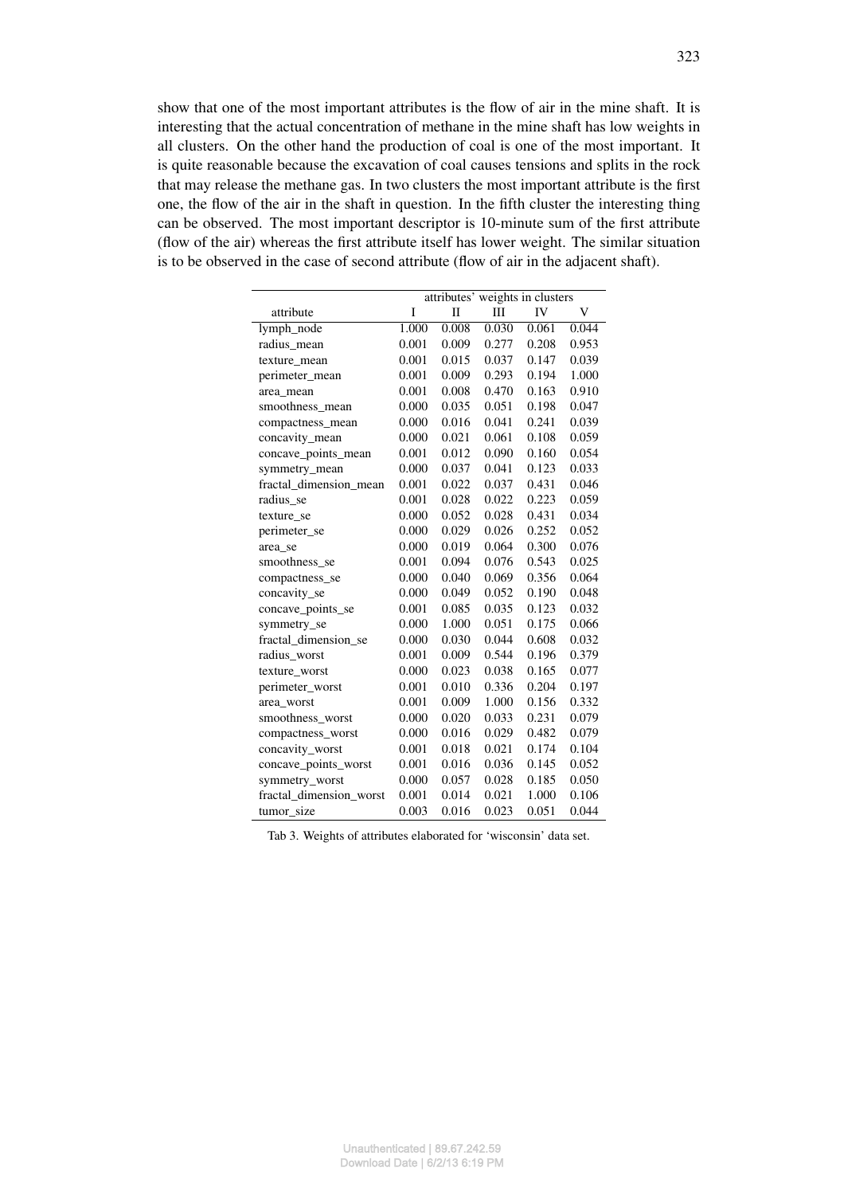show that one of the most important attributes is the flow of air in the mine shaft. It is interesting that the actual concentration of methane in the mine shaft has low weights in all clusters. On the other hand the production of coal is one of the most important. It is quite reasonable because the excavation of coal causes tensions and splits in the rock that may release the methane gas. In two clusters the most important attribute is the first one, the flow of the air in the shaft in question. In the fifth cluster the interesting thing can be observed. The most important descriptor is 10-minute sum of the first attribute (flow of the air) whereas the first attribute itself has lower weight. The similar situation is to be observed in the case of second attribute (flow of air in the adjacent shaft).

|                         | attributes' weights in clusters |       |       |       |       |  |  |
|-------------------------|---------------------------------|-------|-------|-------|-------|--|--|
| attribute               | I                               | П     | Ш     | IV    | V     |  |  |
| lymph_node              | 1.000                           | 0.008 | 0.030 | 0.061 | 0.044 |  |  |
| radius mean             | 0.001                           | 0.009 | 0.277 | 0.208 | 0.953 |  |  |
| texture_mean            | 0.001                           | 0.015 | 0.037 | 0.147 | 0.039 |  |  |
| perimeter_mean          | 0.001                           | 0.009 | 0.293 | 0.194 | 1.000 |  |  |
| area mean               | 0.001                           | 0.008 | 0.470 | 0.163 | 0.910 |  |  |
| smoothness_mean         | 0.000                           | 0.035 | 0.051 | 0.198 | 0.047 |  |  |
| compactness mean        | 0.000                           | 0.016 | 0.041 | 0.241 | 0.039 |  |  |
| concavity_mean          | 0.000                           | 0.021 | 0.061 | 0.108 | 0.059 |  |  |
| concave_points_mean     | 0.001                           | 0.012 | 0.090 | 0.160 | 0.054 |  |  |
| symmetry_mean           | 0.000                           | 0.037 | 0.041 | 0.123 | 0.033 |  |  |
| fractal_dimension_mean  | 0.001                           | 0.022 | 0.037 | 0.431 | 0.046 |  |  |
| radius se               | 0.001                           | 0.028 | 0.022 | 0.223 | 0.059 |  |  |
| texture_se              | 0.000                           | 0.052 | 0.028 | 0.431 | 0.034 |  |  |
| perimeter_se            | 0.000                           | 0.029 | 0.026 | 0.252 | 0.052 |  |  |
| area_se                 | 0.000                           | 0.019 | 0.064 | 0.300 | 0.076 |  |  |
| smoothness_se           | 0.001                           | 0.094 | 0.076 | 0.543 | 0.025 |  |  |
| compactness_se          | 0.000                           | 0.040 | 0.069 | 0.356 | 0.064 |  |  |
| concavity_se            | 0.000                           | 0.049 | 0.052 | 0.190 | 0.048 |  |  |
| concave points se       | 0.001                           | 0.085 | 0.035 | 0.123 | 0.032 |  |  |
| symmetry_se             | 0.000                           | 1.000 | 0.051 | 0.175 | 0.066 |  |  |
| fractal dimension se    | 0.000                           | 0.030 | 0.044 | 0.608 | 0.032 |  |  |
| radius_worst            | 0.001                           | 0.009 | 0.544 | 0.196 | 0.379 |  |  |
| texture_worst           | 0.000                           | 0.023 | 0.038 | 0.165 | 0.077 |  |  |
| perimeter_worst         | 0.001                           | 0.010 | 0.336 | 0.204 | 0.197 |  |  |
| area_worst              | 0.001                           | 0.009 | 1.000 | 0.156 | 0.332 |  |  |
| smoothness_worst        | 0.000                           | 0.020 | 0.033 | 0.231 | 0.079 |  |  |
| compactness_worst       | 0.000                           | 0.016 | 0.029 | 0.482 | 0.079 |  |  |
| concavity_worst         | 0.001                           | 0.018 | 0.021 | 0.174 | 0.104 |  |  |
| concave_points_worst    | 0.001                           | 0.016 | 0.036 | 0.145 | 0.052 |  |  |
| symmetry_worst          | 0.000                           | 0.057 | 0.028 | 0.185 | 0.050 |  |  |
| fractal dimension worst | 0.001                           | 0.014 | 0.021 | 1.000 | 0.106 |  |  |
| tumor_size              | 0.003                           | 0.016 | 0.023 | 0.051 | 0.044 |  |  |

Tab 3. Weights of attributes elaborated for 'wisconsin' data set.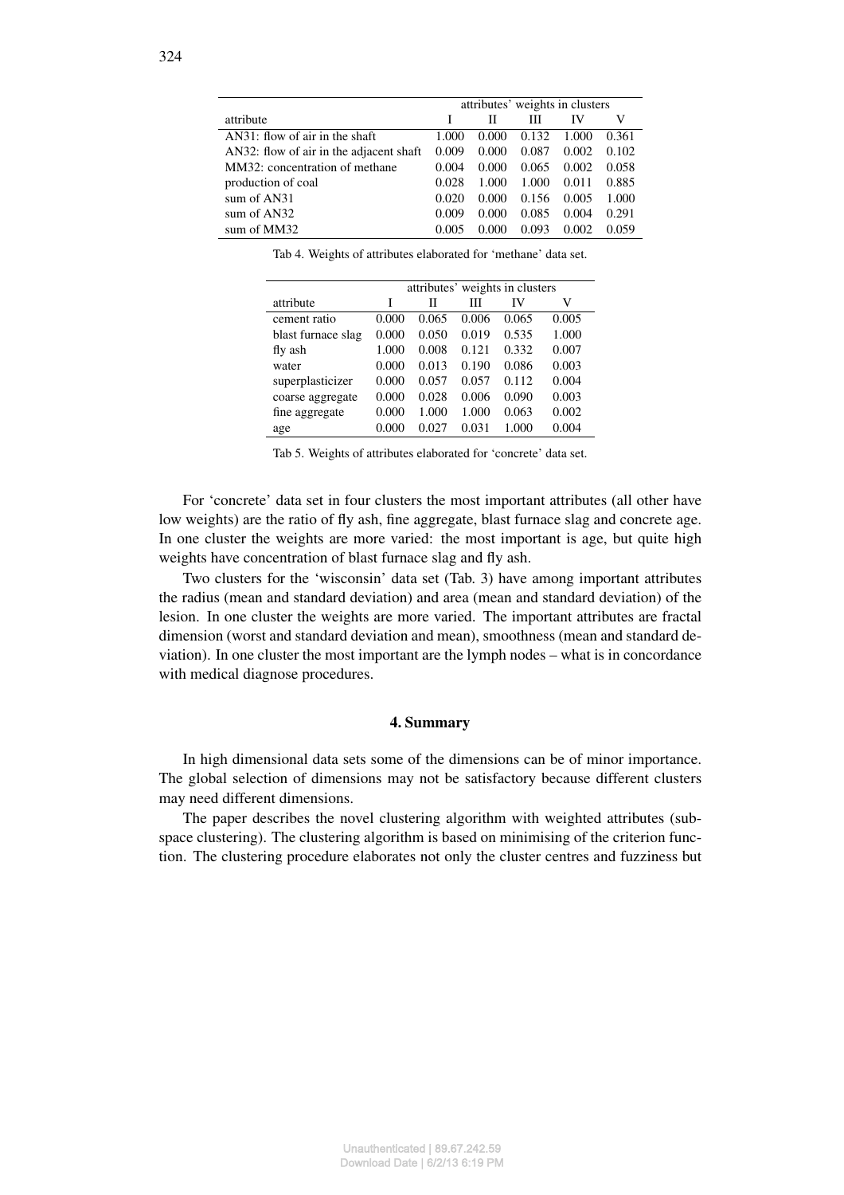|                                         | attributes' weights in clusters |       |       |       |       |
|-----------------------------------------|---------------------------------|-------|-------|-------|-------|
| attribute                               |                                 | П     | Ш     | IV    | V     |
| $AN31$ : flow of air in the shaft       | 1.000                           | 0.000 | 0.132 | 1.000 | 0.361 |
| AN32: flow of air in the adjacent shaft | 0.009                           | 0.000 | 0.087 | 0.002 | 0.102 |
| MM32: concentration of methane          | 0.004                           | 0.000 | 0.065 | 0.002 | 0.058 |
| production of coal                      | 0.028                           | 1.000 | 1.000 | 0.011 | 0.885 |
| sum of $AN31$                           | 0.020                           | 0.000 | 0.156 | 0.005 | 1.000 |
| sum of $AN32$                           | 0.009                           | 0.000 | 0.085 | 0.004 | 0.291 |
| sum of MM32                             | 0.005                           | 0.000 | 0.093 | 0.002 | 0.059 |

Tab 4. Weights of attributes elaborated for 'methane' data set.

|                    | attributes' weights in clusters |       |       |       |       |  |
|--------------------|---------------------------------|-------|-------|-------|-------|--|
| attribute          | I                               | П     | Ш     | IV    | V     |  |
| cement ratio       | 0.000                           | 0.065 | 0.006 | 0.065 | 0.005 |  |
| blast furnace slag | 0.000                           | 0.050 | 0.019 | 0.535 | 1.000 |  |
| fly ash            | 1.000                           | 0.008 | 0.121 | 0.332 | 0.007 |  |
| water              | 0.000                           | 0.013 | 0.190 | 0.086 | 0.003 |  |
| superplasticizer   | 0.000                           | 0.057 | 0.057 | 0.112 | 0.004 |  |
| coarse aggregate   | 0.000                           | 0.028 | 0.006 | 0.090 | 0.003 |  |
| fine aggregate     | 0.000                           | 1.000 | 1.000 | 0.063 | 0.002 |  |
| age                | 0.000                           | 0.027 | 0.031 | 1.000 | 0.004 |  |

Tab 5. Weights of attributes elaborated for 'concrete' data set.

For 'concrete' data set in four clusters the most important attributes (all other have low weights) are the ratio of fly ash, fine aggregate, blast furnace slag and concrete age. In one cluster the weights are more varied: the most important is age, but quite high weights have concentration of blast furnace slag and fly ash.

Two clusters for the 'wisconsin' data set (Tab. 3) have among important attributes the radius (mean and standard deviation) and area (mean and standard deviation) of the lesion. In one cluster the weights are more varied. The important attributes are fractal dimension (worst and standard deviation and mean), smoothness (mean and standard deviation). In one cluster the most important are the lymph nodes – what is in concordance with medical diagnose procedures.

## 4. Summary

In high dimensional data sets some of the dimensions can be of minor importance. The global selection of dimensions may not be satisfactory because different clusters may need different dimensions.

The paper describes the novel clustering algorithm with weighted attributes (subspace clustering). The clustering algorithm is based on minimising of the criterion function. The clustering procedure elaborates not only the cluster centres and fuzziness but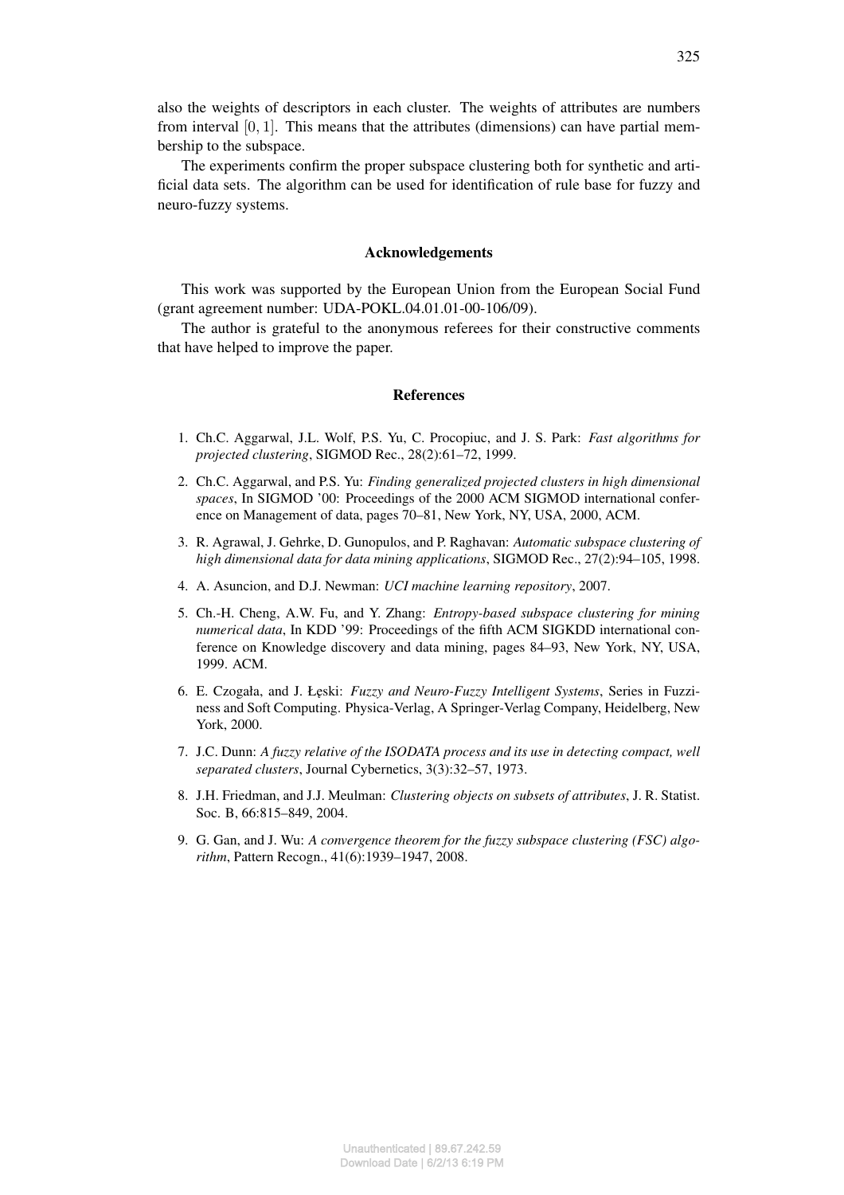also the weights of descriptors in each cluster. The weights of attributes are numbers from interval  $[0, 1]$ . This means that the attributes (dimensions) can have partial membership to the subspace.

The experiments confirm the proper subspace clustering both for synthetic and artificial data sets. The algorithm can be used for identification of rule base for fuzzy and neuro-fuzzy systems.

### Acknowledgements

This work was supported by the European Union from the European Social Fund (grant agreement number: UDA-POKL.04.01.01-00-106/09).

The author is grateful to the anonymous referees for their constructive comments that have helped to improve the paper.

## References

- 1. Ch.C. Aggarwal, J.L. Wolf, P.S. Yu, C. Procopiuc, and J. S. Park: *Fast algorithms for projected clustering*, SIGMOD Rec., 28(2):61–72, 1999.
- 2. Ch.C. Aggarwal, and P.S. Yu: *Finding generalized projected clusters in high dimensional spaces*, In SIGMOD '00: Proceedings of the 2000 ACM SIGMOD international conference on Management of data, pages 70–81, New York, NY, USA, 2000, ACM.
- 3. R. Agrawal, J. Gehrke, D. Gunopulos, and P. Raghavan: *Automatic subspace clustering of high dimensional data for data mining applications*, SIGMOD Rec., 27(2):94–105, 1998.
- 4. A. Asuncion, and D.J. Newman: *UCI machine learning repository*, 2007.
- 5. Ch.-H. Cheng, A.W. Fu, and Y. Zhang: *Entropy-based subspace clustering for mining numerical data*, In KDD '99: Proceedings of the fifth ACM SIGKDD international conference on Knowledge discovery and data mining, pages 84–93, New York, NY, USA, 1999. ACM.
- 6. E. Czogała, and J. ٞeski: *Fuzzy and Neuro-Fuzzy Intelligent Systems*, Series in Fuzziness and Soft Computing. Physica-Verlag, A Springer-Verlag Company, Heidelberg, New York, 2000.
- 7. J.C. Dunn: *A fuzzy relative of the ISODATA process and its use in detecting compact, well separated clusters*, Journal Cybernetics, 3(3):32–57, 1973.
- 8. J.H. Friedman, and J.J. Meulman: *Clustering objects on subsets of attributes*, J. R. Statist. Soc. B, 66:815–849, 2004.
- 9. G. Gan, and J. Wu: *A convergence theorem for the fuzzy subspace clustering (FSC) algorithm*, Pattern Recogn., 41(6):1939–1947, 2008.